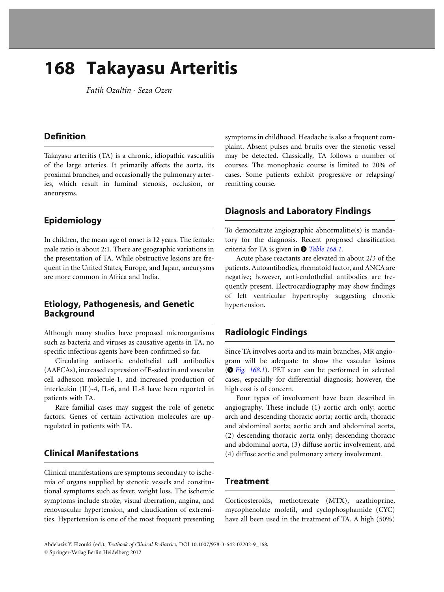# 168 Takayasu Arteritis

Fatih Ozaltin . Seza Ozen

### Definition

Takayasu arteritis (TA) is a chronic, idiopathic vasculitis of the large arteries. It primarily affects the aorta, its proximal branches, and occasionally the pulmonary arteries, which result in luminal stenosis, occlusion, or aneurysms.

#### Epidemiology

In children, the mean age of onset is 12 years. The female: male ratio is about 2:1. There are geographic variations in the presentation of TA. While obstructive lesions are frequent in the United States, Europe, and Japan, aneurysms are more common in Africa and India.

#### Etiology, Pathogenesis, and Genetic Background

Although many studies have proposed microorganisms such as bacteria and viruses as causative agents in TA, no specific infectious agents have been confirmed so far.

Circulating antiaortic endothelial cell antibodies (AAECAs), increased expression of E-selectin and vascular cell adhesion molecule-1, and increased production of interleukin (IL)-4, IL-6, and IL-8 have been reported in patients with TA.

Rare familial cases may suggest the role of genetic factors. Genes of certain activation molecules are upregulated in patients with TA.

#### Clinical Manifestations

Clinical manifestations are symptoms secondary to ischemia of organs supplied by stenotic vessels and constitutional symptoms such as fever, weight loss. The ischemic symptoms include stroke, visual aberration, angina, and renovascular hypertension, and claudication of extremities. Hypertension is one of the most frequent presenting symptoms in childhood. Headache is also a frequent complaint. Absent pulses and bruits over the stenotic vessel may be detected. Classically, TA follows a number of courses. The monophasic course is limited to 20% of cases. Some patients exhibit progressive or relapsing/ remitting course.

#### Diagnosis and Laboratory Findings

To demonstrate angiographic abnormalitie(s) is mandatory for the diagnosis. Recent proposed classification criteria for TA is given in  $\bullet$  [Table 168.1](#page-1-0).

Acute phase reactants are elevated in about 2/3 of the patients. Autoantibodies, rhematoid factor, and ANCA are negative; however, anti-endothelial antibodies are frequently present. Electrocardiography may show findings of left ventricular hypertrophy suggesting chronic hypertension.

#### Radiologic Findings

Since TA involves aorta and its main branches, MR angiogram will be adequate to show the vascular lesions ([>](#page-1-0) [Fig. 168.1](#page-1-0)). PET scan can be performed in selected cases, especially for differential diagnosis; however, the high cost is of concern.

Four types of involvement have been described in angiography. These include (1) aortic arch only; aortic arch and descending thoracic aorta; aortic arch, thoracic and abdominal aorta; aortic arch and abdominal aorta, (2) descending thoracic aorta only; descending thoracic and abdominal aorta, (3) diffuse aortic involvement, and (4) diffuse aortic and pulmonary artery involvement.

#### **Treatment**

Corticosteroids, methotrexate (MTX), azathioprine, mycophenolate mofetil, and cyclophosphamide (CYC) have all been used in the treatment of TA. A high (50%)